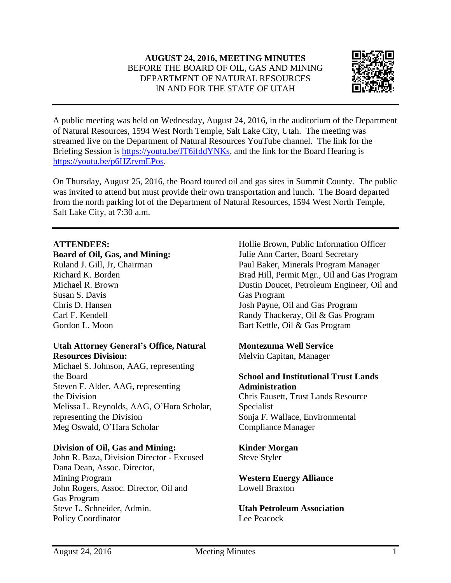# **AUGUST 24, 2016, MEETING MINUTES** BEFORE THE BOARD OF OIL, GAS AND MINING DEPARTMENT OF NATURAL RESOURCES IN AND FOR THE STATE OF UTAH



A public meeting was held on Wednesday, August 24, 2016, in the auditorium of the Department of Natural Resources, 1594 West North Temple, Salt Lake City, Utah. The meeting was streamed live on the Department of Natural Resources YouTube channel. The link for the Briefing Session is [https://youtu.be/JT6ifddYNKs,](https://youtu.be/JT6ifddYNKs) and the link for the Board Hearing is [https://youtu.be/p6HZrvmEPos.](https://youtu.be/p6HZrvmEPos)

On Thursday, August 25, 2016, the Board toured oil and gas sites in Summit County. The public was invited to attend but must provide their own transportation and lunch. The Board departed from the north parking lot of the Department of Natural Resources, 1594 West North Temple, Salt Lake City, at 7:30 a.m.

### **ATTENDEES:**

#### **Board of Oil, Gas, and Mining:**

Ruland J. Gill, Jr, Chairman Richard K. Borden Michael R. Brown Susan S. Davis Chris D. Hansen Carl F. Kendell Gordon L. Moon

## **Utah Attorney General's Office, Natural Resources Division:**

Michael S. Johnson, AAG, representing the Board Steven F. Alder, AAG, representing the Division Melissa L. Reynolds, AAG, O'Hara Scholar, representing the Division Meg Oswald, O'Hara Scholar

### **Division of Oil, Gas and Mining:**

John R. Baza, Division Director - Excused Dana Dean, Assoc. Director, Mining Program John Rogers, Assoc. Director, Oil and Gas Program Steve L. Schneider, Admin. Policy Coordinator

Hollie Brown, Public Information Officer Julie Ann Carter, Board Secretary Paul Baker, Minerals Program Manager Brad Hill, Permit Mgr., Oil and Gas Program Dustin Doucet, Petroleum Engineer, Oil and Gas Program Josh Payne, Oil and Gas Program Randy Thackeray, Oil & Gas Program Bart Kettle, Oil & Gas Program

## **Montezuma Well Service**

Melvin Capitan, Manager

### **School and Institutional Trust Lands Administration** Chris Fausett, Trust Lands Resource

Specialist Sonja F. Wallace, Environmental Compliance Manager

**Kinder Morgan** Steve Styler

**Western Energy Alliance** Lowell Braxton

**Utah Petroleum Association** Lee Peacock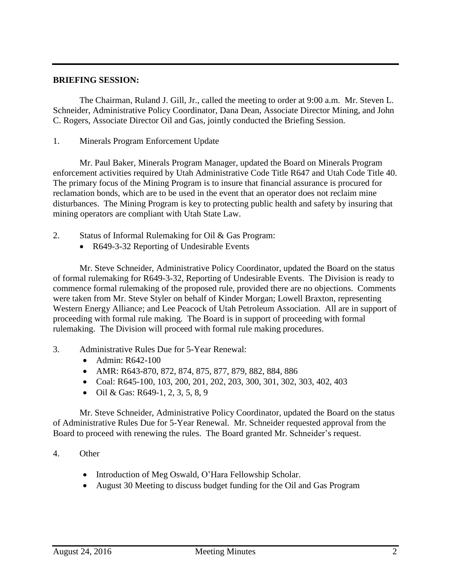### **BRIEFING SESSION:**

The Chairman, Ruland J. Gill, Jr., called the meeting to order at 9:00 a.m. Mr. Steven L. Schneider, Administrative Policy Coordinator, Dana Dean, Associate Director Mining, and John C. Rogers, Associate Director Oil and Gas, jointly conducted the Briefing Session.

1. Minerals Program Enforcement Update

Mr. Paul Baker, Minerals Program Manager, updated the Board on Minerals Program enforcement activities required by Utah Administrative Code Title R647 and Utah Code Title 40. The primary focus of the Mining Program is to insure that financial assurance is procured for reclamation bonds, which are to be used in the event that an operator does not reclaim mine disturbances. The Mining Program is key to protecting public health and safety by insuring that mining operators are compliant with Utah State Law.

- 2. Status of Informal Rulemaking for Oil & Gas Program:
	- R649-3-32 Reporting of Undesirable Events

Mr. Steve Schneider, Administrative Policy Coordinator, updated the Board on the status of formal rulemaking for R649-3-32, Reporting of Undesirable Events. The Division is ready to commence formal rulemaking of the proposed rule, provided there are no objections. Comments were taken from Mr. Steve Styler on behalf of Kinder Morgan; Lowell Braxton, representing Western Energy Alliance; and Lee Peacock of Utah Petroleum Association. All are in support of proceeding with formal rule making. The Board is in support of proceeding with formal rulemaking. The Division will proceed with formal rule making procedures.

- 3. Administrative Rules Due for 5-Year Renewal:
	- Admin: R642-100
	- AMR: R643-870, 872, 874, 875, 877, 879, 882, 884, 886
	- Coal: R645-100, 103, 200, 201, 202, 203, 300, 301, 302, 303, 402, 403
	- $\bullet$  Oil & Gas: R649-1, 2, 3, 5, 8, 9

Mr. Steve Schneider, Administrative Policy Coordinator, updated the Board on the status of Administrative Rules Due for 5-Year Renewal. Mr. Schneider requested approval from the Board to proceed with renewing the rules. The Board granted Mr. Schneider's request.

### 4. Other

- Introduction of Meg Oswald, O'Hara Fellowship Scholar.
- August 30 Meeting to discuss budget funding for the Oil and Gas Program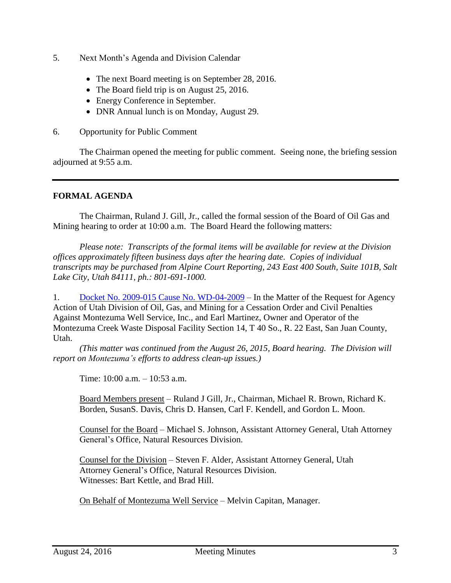- 5. Next Month's Agenda and Division Calendar
	- The next Board meeting is on September 28, 2016.
	- The Board field trip is on August 25, 2016.
	- Energy Conference in September.
	- DNR Annual lunch is on Monday, August 29.
- 6. Opportunity for Public Comment

The Chairman opened the meeting for public comment. Seeing none, the briefing session adjourned at 9:55 a.m.

## **FORMAL AGENDA**

The Chairman, Ruland J. Gill, Jr., called the formal session of the Board of Oil Gas and Mining hearing to order at 10:00 a.m. The Board Heard the following matters:

*Please note: Transcripts of the formal items will be available for review at the Division offices approximately fifteen business days after the hearing date. Copies of individual transcripts may be purchased from Alpine Court Reporting, 243 East 400 South, Suite 101B, Salt Lake City, Utah 84111, ph.: 801-691-1000.*

1. Docket No. 2009-015 Cause No. [WD-04-2009](https://fs.ogm.utah.gov/bbooks/2016/08_Aug/Dockets/2009-015_WD-04-2009_Montezuma/) – In the Matter of the Request for Agency Action of Utah Division of Oil, Gas, and Mining for a Cessation Order and Civil Penalties Against Montezuma Well Service, Inc., and Earl Martinez, Owner and Operator of the Montezuma Creek Waste Disposal Facility Section 14, T 40 So., R. 22 East, San Juan County, Utah.

*(This matter was continued from the August 26, 2015, Board hearing. The Division will report on Montezuma's efforts to address clean-up issues.)*

Time: 10:00 a.m. – 10:53 a.m.

Board Members present – Ruland J Gill, Jr., Chairman, Michael R. Brown, Richard K. Borden, SusanS. Davis, Chris D. Hansen, Carl F. Kendell, and Gordon L. Moon.

Counsel for the Board – Michael S. Johnson, Assistant Attorney General, Utah Attorney General's Office, Natural Resources Division.

Counsel for the Division – Steven F. Alder, Assistant Attorney General, Utah Attorney General's Office, Natural Resources Division. Witnesses: Bart Kettle, and Brad Hill.

On Behalf of Montezuma Well Service – Melvin Capitan, Manager.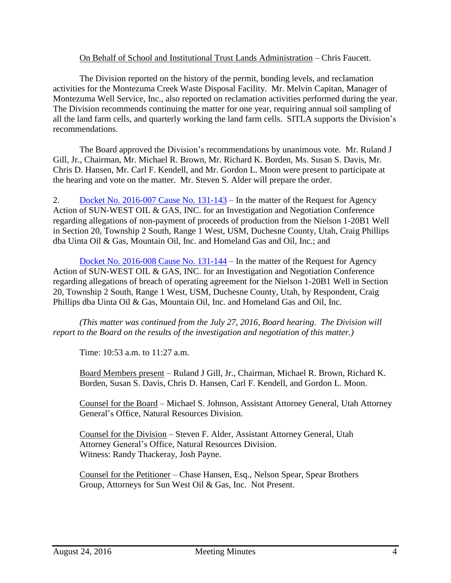### On Behalf of School and Institutional Trust Lands Administration – Chris Faucett.

The Division reported on the history of the permit, bonding levels, and reclamation activities for the Montezuma Creek Waste Disposal Facility. Mr. Melvin Capitan, Manager of Montezuma Well Service, Inc., also reported on reclamation activities performed during the year. The Division recommends continuing the matter for one year, requiring annual soil sampling of all the land farm cells, and quarterly working the land farm cells. SITLA supports the Division's recommendations.

The Board approved the Division's recommendations by unanimous vote. Mr. Ruland J Gill, Jr., Chairman, Mr. Michael R. Brown, Mr. Richard K. Borden, Ms. Susan S. Davis, Mr. Chris D. Hansen, Mr. Carl F. Kendell, and Mr. Gordon L. Moon were present to participate at the hearing and vote on the matter. Mr. Steven S. Alder will prepare the order.

2. Docket No. [2016-007](http://ogm.utah.gov/amr/boardtemp/redesign/2016/07_Jul/Dockets/2016-007_131-143_Sun-West.php) Cause No. 131-143 – In the matter of the Request for Agency Action of SUN-WEST OIL & GAS, INC. for an Investigation and Negotiation Conference regarding allegations of non-payment of proceeds of production from the Nielson 1-20B1 Well in Section 20, Township 2 South, Range 1 West, USM, Duchesne County, Utah, Craig Phillips dba Uinta Oil & Gas, Mountain Oil, Inc. and Homeland Gas and Oil, Inc.; and

Docket No. [2016-008](http://ogm.utah.gov/amr/boardtemp/redesign/2016/07_Jul/Dockets/2016-008_131-144_Sun-West.php) Cause No. 131-144 – In the matter of the Request for Agency Action of SUN-WEST OIL & GAS, INC. for an Investigation and Negotiation Conference regarding allegations of breach of operating agreement for the Nielson 1-20B1 Well in Section 20, Township 2 South, Range 1 West, USM, Duchesne County, Utah, by Respondent, Craig Phillips dba Uinta Oil & Gas, Mountain Oil, Inc. and Homeland Gas and Oil, Inc.

*(This matter was continued from the July 27, 2016, Board hearing. The Division will report to the Board on the results of the investigation and negotiation of this matter.)*

Time: 10:53 a.m. to 11:27 a.m.

Board Members present – Ruland J Gill, Jr., Chairman, Michael R. Brown, Richard K. Borden, Susan S. Davis, Chris D. Hansen, Carl F. Kendell, and Gordon L. Moon.

Counsel for the Board – Michael S. Johnson, Assistant Attorney General, Utah Attorney General's Office, Natural Resources Division.

Counsel for the Division – Steven F. Alder, Assistant Attorney General, Utah Attorney General's Office, Natural Resources Division. Witness: Randy Thackeray, Josh Payne.

Counsel for the Petitioner – Chase Hansen, Esq., Nelson Spear, Spear Brothers Group, Attorneys for Sun West Oil & Gas, Inc. Not Present.